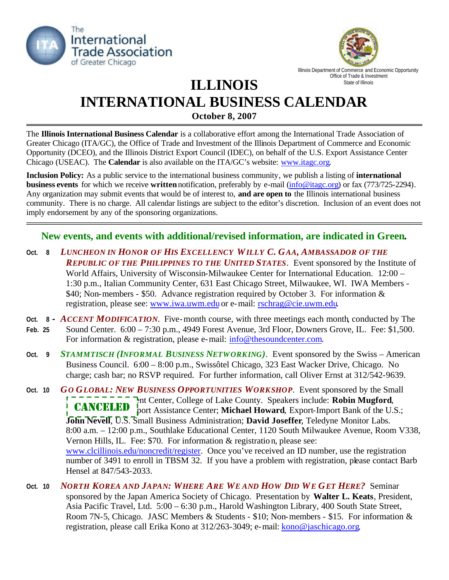



Illinois Department of Commerce and Economic Opportunity Office of Trade & Investment

## **ILLINOIS INTERNATIONAL BUSINESS CALENDAR** State of Illinois

**October 8, 2007**

The **Illinois International Business Calendar** is a collaborative effort among the International Trade Association of Greater Chicago (ITA/GC), the Office of Trade and Investment of the Illinois Department of Commerce and Economic Opportunity (DCEO), and the Illinois District Export Council (IDEC), on behalf of the U.S. Export Assistance Center Chicago (USEAC). The **Calendar** is also available on the ITA/GC's website: www.itagc.org.

**Inclusion Policy:** As a public service to the international business community, we publish a listing of **international business events** for which we receive **written** notification, preferably by e-mail (info@itagc.org) or fax (773/725-2294). Any organization may submit events that would be of interest to, **and are open to** the Illinois international business community. There is no charge. All calendar listings are subject to the editor's discretion. Inclusion of an event does not imply endorsement by any of the sponsoring organizations.

## **New events, and events with additional/revised information, are indicated in Green.**

- **Oct. 8** *LUNCHEON IN HONOR OF HIS EXCELLENCY WILLY C. GAA, AMBASSADOR OF THE REPUBLIC OF THE PHILIPPINES TO THE UNITED STATES*. Event sponsored by the Institute of World Affairs, University of Wisconsin-Milwaukee Center for International Education. 12:00 – 1:30 p.m., Italian Community Center, 631 East Chicago Street, Milwaukee, WI. IWA Members - \$40; Non-members - \$50. Advance registration required by October 3. For information & registration, please see: www.iwa.uwm.edu or e-mail: rschrag@cie.uwm.edu.
- **Oct. 8 -** *ACCENT MODIFICATION*. Five-month course, with three meetings each month, conducted by The **Feb. 25** Sound Center. 6:00 – 7:30 p.m., 4949 Forest Avenue, 3rd Floor, Downers Grove, IL. Fee: \$1,500. For information & registration, please e-mail: info@thesoundcenter.com.
- **Oct. 9** *STAMMTISCH (INFORMAL BUSINESS NETWORKING)*. Event sponsored by the Swiss American Business Council. 6:00 – 8:00 p.m., Swissôtel Chicago, 323 East Wacker Drive, Chicago. No charge; cash bar; no RSVP required. For further information, call Oliver Ernst at 312/542-9639.
- **Oct. 10** *GO GLOBAL: NEW BUSINESS OPPORTUNITIES WORKSHOP*. Event sponsored by the Small Int Center, College of Lake County. Speakers include: **Robin Mugford**, port Assistance Center; Michael Howard, Export-Import Bank of the U.S.; **John Nevell**, U.S. Small Business Administration; **David Joseffer**, Teledyne Monitor Labs. 8:00 a.m. – 12:00 p.m., Southlake Educational Center, 1120 South Milwaukee Avenue, Room V338, Vernon Hills, IL. Fee: \$70. For information & registration, please see: www.clcillinois.edu/noncredit/register. Once you've received an ID number, use the registration number of 3491 to enroll in TBSM 32. If you have a problem with registration, please contact Barb Hensel at 847/543-2033. **CANCELED**
- Oct. 10 NORTH KOREA AND JAPAN: WHERE ARE WE AND HOW DID WE GET HERE? Seminar sponsored by the Japan America Society of Chicago. Presentation by **Walter L. Keats**, President, Asia Pacific Travel, Ltd. 5:00 – 6:30 p.m., Harold Washington Library, 400 South State Street, Room 7N-5, Chicago. JASC Members & Students - \$10; Non-members - \$15. For information & registration, please call Erika Kono at 312/263-3049; e-mail: kono@jaschicago.org.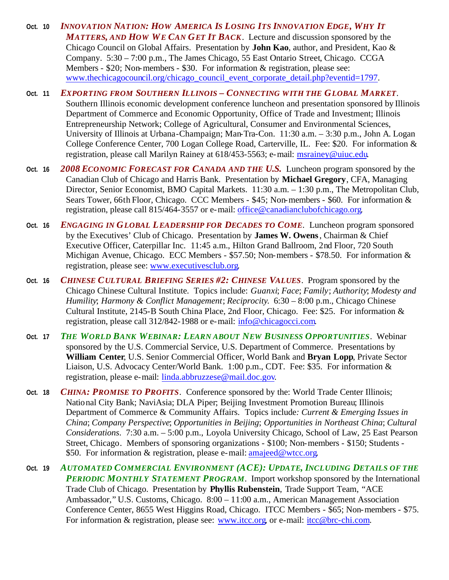- Oct. 10 INNOVATION NATION: HOW AMERICA IS LOSING ITS INNOVATION EDGE, WHY IT *MATTERS, AND HOW WE CAN GET IT BACK*. Lecture and discussion sponsored by the Chicago Council on Global Affairs. Presentation by **John Kao**, author, and President, Kao & Company. 5:30 – 7:00 p.m., The James Chicago, 55 East Ontario Street, Chicago. CCGA Members - \$20; Non-members - \$30. For information & registration, please see: www.thechicagocouncil.org/chicago\_council\_event\_corporate\_detail.php?eventid=1797.
- **Oct. 11** *EXPORTING FROM SOUTHERN ILLINOIS – CONNECTING WITH THE GLOBAL MARKET*. Southern Illinois economic development conference luncheon and presentation sponsored by Illinois Department of Commerce and Economic Opportunity, Office of Trade and Investment; Illinois Entrepreneurship Network; College of Agricultural, Consumer and Environmental Sciences, University of Illinois at Urbana-Champaign; Man-Tra-Con. 11:30 a.m. – 3:30 p.m., John A. Logan College Conference Center, 700 Logan College Road, Carterville, IL. Fee: \$20. For information & registration, please call Marilyn Rainey at 618/453-5563; e-mail: msrainey@uiuc.edu.
- **Oct. 16** *2008 ECONOMIC FORECAST FOR CANADA AND THE U.S.* Luncheon program sponsored by the Canadian Club of Chicago and Harris Bank. Presentation by **Michael Gregory**, CFA, Managing Director, Senior Economist, BMO Capital Markets. 11:30 a.m. – 1:30 p.m., The Metropolitan Club, Sears Tower, 66th Floor, Chicago. CCC Members - \$45; Non-members - \$60. For information & registration, please call 815/464-3557 or e-mail: office@canadianclubofchicago.org.
- **Oct. 16** *ENGAGING IN GLOBAL LEADERSHIP FOR DECADES TO COME*. Luncheon program sponsored by the Executives' Club of Chicago. Presentation by **James W. Owens**, Chairman & Chief Executive Officer, Caterpillar Inc. 11:45 a.m., Hilton Grand Ballroom, 2nd Floor, 720 South Michigan Avenue, Chicago. ECC Members - \$57.50; Non-members - \$78.50. For information  $\&$ registration, please see: www.executivesclub.org.
- **Oct. 16** *CHINESE CULTURAL BRIEFING SERIES #2: CHINESE VALUES*. Program sponsored by the Chicago Chinese Cultural Institute. Topics include: *Guanxi*; *Face*; *Family*; *Authority*; *Modesty and Humility*; *Harmony & Conflict Management*; *Reciprocity*. 6:30 – 8:00 p.m., Chicago Chinese Cultural Institute, 2145-B South China Place, 2nd Floor, Chicago. Fee: \$25. For information & registration, please call 312/842-1988 or e-mail: info@chicagocci.com.
- **Oct. 17** *THE WORLD BANK WEBINAR: LEARN ABOUT NEW BUSINESS OPPORTUNITIES*. Webinar sponsored by the U.S. Commercial Service, U.S. Department of Commerce. Presentations by **William Center**, U.S. Senior Commercial Officer, World Bank and **Bryan Lopp**, Private Sector Liaison, U.S. Advocacy Center/World Bank. 1:00 p.m., CDT. Fee: \$35. For information & registration, please e-mail: linda.abbruzzese@mail.doc.gov.
- **Oct. 18** *CHINA: PROMISE TO PROFITS*. Conference sponsored by the: World Trade Center Illinois; National City Bank; NaviAsia; DLA Piper; Beijing Investment Promotion Bureau; Illinois Department of Commerce & Community Affairs. Topics include*: Current & Emerging Issues in China*; *Company Perspective*; *Opportunities in Beijing*; *Opportunities in Northeast China*; *Cultural Considerations*. 7:30 a.m. – 5:00 p.m., Loyola University Chicago, School of Law, 25 East Pearson Street, Chicago. Members of sponsoring organizations - \$100; Non-members - \$150; Students - \$50. For information & registration, please e-mail: amajeed@wtcc.org.
- **Oct. 19** *AUTOMATED COMMERCIAL ENVIRONMENT (ACE): UPDATE, INCLUDING DETAILS OF THE PERIODIC MONTHLY STATEMENT PROGRAM*. Import workshop sponsored by the International Trade Club of Chicago. Presentation by **Phyllis Rubenstein**, Trade Support Team, "ACE Ambassador," U.S. Customs, Chicago. 8:00 – 11:00 a.m., American Management Association Conference Center, 8655 West Higgins Road, Chicago. ITCC Members - \$65; Non-members - \$75. For information & registration, please see: www.itcc.org, or e-mail: itcc@brc-chi.com.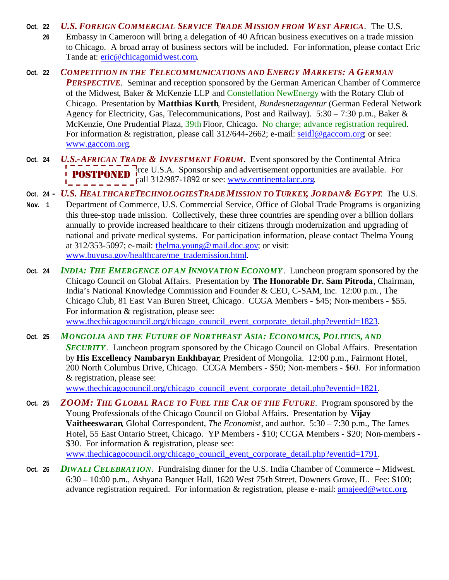**Oct. 22** *U.S. FOREIGN COMMERCIAL SERVICE TRADE MISSION FROM WEST AFRICA*. The U.S.

- **26** Embassy in Cameroon will bring a delegation of 40 African business executives on a trade mission to Chicago. A broad array of business sectors will be included. For information, please contact Eric Tande at: eric@chicagomidwest.com.
- **Oct. 22** *COMPETITION IN THE TELECOMMUNICATIONS AND ENERGY MARKETS: A GERMAN PERSPECTIVE*. Seminar and reception sponsored by the German American Chamber of Commerce of the Midwest, Baker & McKenzie LLP and Constellation NewEnergy with the Rotary Club of Chicago. Presentation by **Matthias Kurth**, President, *Bundesnetzagentur* (German Federal Network Agency for Electricity, Gas, Telecommunications, Post and Railway).  $5:30 - 7:30$  p.m., Baker & McKenzie, One Prudential Plaza, 39th Floor, Chicago. No charge; advance registration required. For information & registration, please call 312/644-2662; e-mail: seidl@gaccom.org; or see: www.gaccom.org.
- **Oct. 24** *U.S.-AFRICAN TRADE & INVESTMENT FORUM*. Event sponsored by the Continental Africa **POSTPONED** Free U.S.A. Sponsorship and advertisement opportunities are available. For **POSTPONED**  $\begin{array}{c} \text{free } 0.3.A. \text{ sponsorsmp and aaverusement opporia} \\ \text{call } 312/987-1892 \text{ or see: } \underline{\text{www.continentalacc.org.}} \end{array}$
- Oct. 24 U.S. HEALTHCARETECHNOLOGIESTRADE MISSION TO TURKEY, JORDAN& EGYPT. The U.S.
- **Nov. 1** Department of Commerce, U.S. Commercial Service, Office of Global Trade Programs is organizing this three-stop trade mission. Collectively, these three countries are spending over a billion dollars annually to provide increased healthcare to their citizens through modernization and upgrading of national and private medical systems. For participation information, please contact Thelma Young at 312/353-5097; e-mail: thelma.young@mail.doc.gov; or visit: www.buyusa.gov/healthcare/me\_trademission.html.
- **Oct. 24** *INDIA: THE EMERGENCE OF AN INNOVATION ECONOMY*. Luncheon program sponsored by the Chicago Council on Global Affairs. Presentation by **The Honorable Dr. Sam Pitroda**, Chairman, India's National Knowledge Commission and Founder & CEO, C-SAM, Inc. 12:00 p.m., The Chicago Club, 81 East Van Buren Street, Chicago. CCGA Members - \$45; Non-members - \$55. For information & registration, please see: www.thechicagocouncil.org/chicago\_council\_event\_corporate\_detail.php?eventid=1823.
- **Oct. 25** *MONGOLIA AND THE FUTURE OF NORTHEAST ASIA: ECONOMICS, POLITICS, AND SECURITY*. Luncheon program sponsored by the Chicago Council on Global Affairs. Presentation by **His Excellency Nambaryn Enkhbayar**, President of Mongolia. 12:00 p.m., Fairmont Hotel, 200 North Columbus Drive, Chicago. CCGA Members - \$50; Non-members - \$60. For information & registration, please see:

www.thechicagocouncil.org/chicago\_council\_event\_corporate\_detail.php?eventid=1821.

- **Oct. 25** *ZOOM: THE GLOBAL RACE TO FUEL THE CAR OF THE FUTURE*. Program sponsored by the Young Professionals of the Chicago Council on Global Affairs. Presentation by **Vijay Vaitheeswaran**, Global Correspondent, *The Economist*, and author. 5:30 – 7:30 p.m., The James Hotel, 55 East Ontario Street, Chicago. YP Members - \$10; CCGA Members - \$20; Non-members - \$30. For information & registration, please see: www.thechicagocouncil.org/chicago\_council\_event\_corporate\_detail.php?eventid=1791.
- **Oct. 26** *DIWALI CELEBRATION*. Fundraising dinner for the U.S. India Chamber of Commerce Midwest. 6:30 – 10:00 p.m., Ashyana Banquet Hall, 1620 West 75th Street, Downers Grove, IL. Fee: \$100; advance registration required. For information & registration, please e-mail: amajeed@wtcc.org.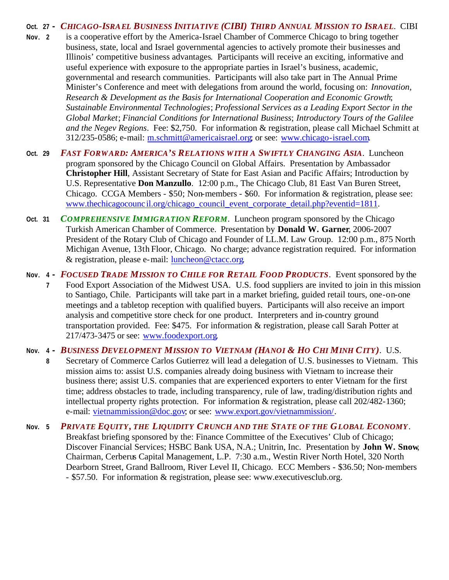## Oct. 27 - CHICAGO-ISRAEL BUSINESS INITIATIVE (CIBI) THIRD ANNUAL MISSION TO ISRAEL. CIBI **Nov**. **2** is a cooperative effort by the America-Israel Chamber of Commerce Chicago to bring together business, state, local and Israel governmental agencies to actively promote their businesses and Illinois' competitive business advantages. Participants will receive an exciting, informative and useful experience with exposure to the appropriate parties in Israel's business, academic, governmental and research communities. Participants will also take part in The Annual Prime Minister's Conference and meet with delegations from around the world, focusing on: *Innovation, Research & Development as the Basis for International Cooperation and Economic Growth*; *Sustainable Environmental Technologies*; *Professional Services as a Leading Export Sector in the Global Market*; *Financial Conditions for International Business*; *Introductory Tours of the Galilee and the Negev Regions*. Fee: \$2,750. For information & registration, please call Michael Schmitt at 312/235-0586; e-mail: m.schmitt@americaisrael.org; or see: www.chicago-israel.com.

- **Oct. 29** *FAST FORWARD: AMERICA'S RELATIONS WITH A SWIFTLY CHANGING ASIA*. Luncheon program sponsored by the Chicago Council on Global Affairs. Presentation by Ambassador **Christopher Hill**, Assistant Secretary of State for East Asian and Pacific Affairs; Introduction by U.S. Representative **Don Manzullo**. 12:00 p.m., The Chicago Club, 81 East Van Buren Street, Chicago. CCGA Members - \$50; Non-members - \$60. For information & registration, please see: www.thechicagocounc il.org/chicago\_council\_event\_corporate\_detail.php?eventid=1811.
- **Oct. 31** *COMPREHENSIVE IMMIGRATION REFORM*. Luncheon program sponsored by the Chicago Turkish American Chamber of Commerce. Presentation by **Donald W. Garner**, 2006-2007 President of the Rotary Club of Chicago and Founder of LL.M. Law Group. 12:00 p.m., 875 North Michigan Avenue, 13th Floor, Chicago. No charge; advance registration required. For information & registration, please e-mail: luncheon@ctacc.org.
- **Nov**. **4 -** *FOCUSED TRADE MISSION TO CHILE FOR RETAIL FOOD PRODUCTS*. Event sponsored by the **7** Food Export Association of the Midwest USA. U.S. food suppliers are invited to join in this mission to Santiago, Chile. Participants will take part in a market briefing, guided retail tours, one-on-one meetings and a tabletop reception with qualified buyers. Participants will also receive an import analysis and competitive store check for one product. Interpreters and in-country ground transportation provided. Fee: \$475. For information & registration, please call Sarah Potter at 217/473-3475 or see: www.foodexport.org.
- Nov. 4 BUSINESS DEVELOPMENT MISSION TO VIETNAM (HANOI & HO CHI MINH CITY). U.S.
	- **8** Secretary of Commerce Carlos Gutierrez will lead a delegation of U.S. businesses to Vietnam. This mission aims to: assist U.S. companies already doing business with Vietnam to increase their business there; assist U.S. companies that are experienced exporters to enter Vietnam for the first time; address obstacles to trade, including transparency, rule of law, trading/distribution rights and intellectual property rights protection. For information & registration, please call 202/482-1360; e-mail: vietnammission@doc.gov; or see: www.export.gov/vietnammission/.
- **Nov. 5** *PRIVATE EQUITY, THE LIQUIDITY CRUNCH AND THE STATE OF THE GLOBAL ECONOMY*. Breakfast briefing sponsored by the: Finance Committee of the Executives' Club of Chicago; Discover Financial Services; HSBC Bank USA, N.A.; Unitrin, Inc. Presentation by **John W. Snow**, Chairman, Cerberus Capital Management, L.P. 7:30 a.m., Westin River North Hotel, 320 North Dearborn Street, Grand Ballroom, River Level II, Chicago. ECC Members - \$36.50; Non-members - \$57.50. For information & registration, please see: www.executivesclub.org.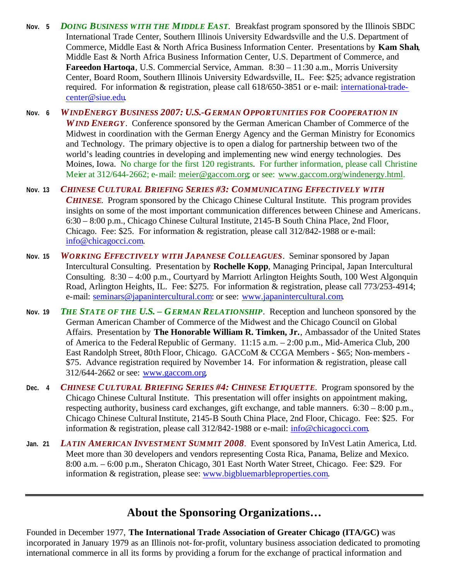- **Nov. 5** *DOING BUSINESS WITH THE MIDDLE EAST*. Breakfast program sponsored by the Illinois SBDC International Trade Center, Southern Illinois University Edwardsville and the U.S. Department of Commerce, Middle East & North Africa Business Information Center. Presentations by **Kam Shah**, Middle East & North Africa Business Information Center, U.S. Department of Commerce, and **Fareedon Hartoqa**, U.S. Commercial Service, Amman. 8:30 – 11:30 a.m., Morris University Center, Board Room, Southern Illinois University Edwardsville, IL. Fee: \$25; advance registration required. For information & registration, please call 618/650-3851 or e-mail: international-tradecenter@siue.edu.
- **Nov. 6** *WINDENERGY BUSINESS 2007: U.S.-GERMAN OPPORTUNITIES FOR COOPERATION IN WIND ENERGY*. Conference sponsored by the German American Chamber of Commerce of the Midwest in coordination with the German Energy Agency and the German Ministry for Economics and Technology. The primary objective is to open a dialog for partnership between two of the world's leading countries in developing and implementing new wind energy technologies. Des Moines, Iowa. No charge for the first 120 registrants. For further information, please call Christine Meier at 312/644-2662; e-mail: meier@gaccom.org; or see: www.gaccom.org/windenergy.html.
- **Nov. 13** *CHINESE CULTURAL BRIEFING SERIES #3: COMMUNICATING EFFECTIVELY WITH CHINESE*. Program sponsored by the Chicago Chinese Cultural Institute. This program provides insights on some of the most important communication differences between Chinese and Americans. 6:30 – 8:00 p.m., Chicago Chinese Cultural Institute, 2145-B South China Place, 2nd Floor, Chicago. Fee: \$25. For information  $\&$  registration, please call 312/842-1988 or e-mail: info@chicagocci.com.
- **Nov. 15** *WORKING EFFECTIVELY WITH JAPANESE COLLEAGUES*. Seminar sponsored by Japan Intercultural Consulting. Presentation by **Rochelle Kopp**, Managing Principal, Japan Intercultural Consulting. 8:30 – 4:00 p.m., Courtyard by Marriott Arlington Heights South, 100 West Algonquin Road, Arlington Heights, IL. Fee: \$275. For information & registration, please call 773/253-4914; e-mail: seminars@japanintercultural.com: or see: www.japanintercultural.com.
- **Nov. 19** *THE STATE OF THE U.S. – GERMAN RELATIONSHIP*. Reception and luncheon sponsored by the German American Chamber of Commerce of the Midwest and the Chicago Council on Global Affairs. Presentation by **The Honorable William R. Timken, Jr.**, Ambassador of the United States of America to the Federal Republic of Germany. 11:15 a.m. – 2:00 p.m., Mid-America Club, 200 East Randolph Street, 80th Floor, Chicago. GACCoM & CCGA Members - \$65; Non-members - \$75. Advance registration required by November 14. For information & registration, please call 312/644-2662 or see: www.gaccom.org.
- **Dec. 4** *CHINESE CULTURAL BRIEFING SERIES #4: CHINESE ETIQUETTE*. Program sponsored by the Chicago Chinese Cultural Institute. This presentation will offer insights on appointment making, respecting authority, business card exchanges, gift exchange, and table manners. 6:30 – 8:00 p.m., Chicago Chinese Cultural Institute, 2145-B South China Place, 2nd Floor, Chicago. Fee: \$25. For information & registration, please call 312/842-1988 or e-mail: info@chicagocci.com.
- **Jan. 21** *LATIN AMERICAN INVESTMENT SUMMIT 2008*. Event sponsored by InVest Latin America, Ltd. Meet more than 30 developers and vendors representing Costa Rica, Panama, Belize and Mexico. 8:00 a.m. – 6:00 p.m., Sheraton Chicago, 301 East North Water Street, Chicago. Fee: \$29. For information & registration, please see: www.bigbluemarbleproperties.com.

## **About the Sponsoring Organizations…**

Founded in December 1977, **The International Trade Association of Greater Chicago (ITA/GC)** was incorporated in January 1979 as an Illinois not-for-profit, voluntary business association dedicated to promoting international commerce in all its forms by providing a forum for the exchange of practical information and